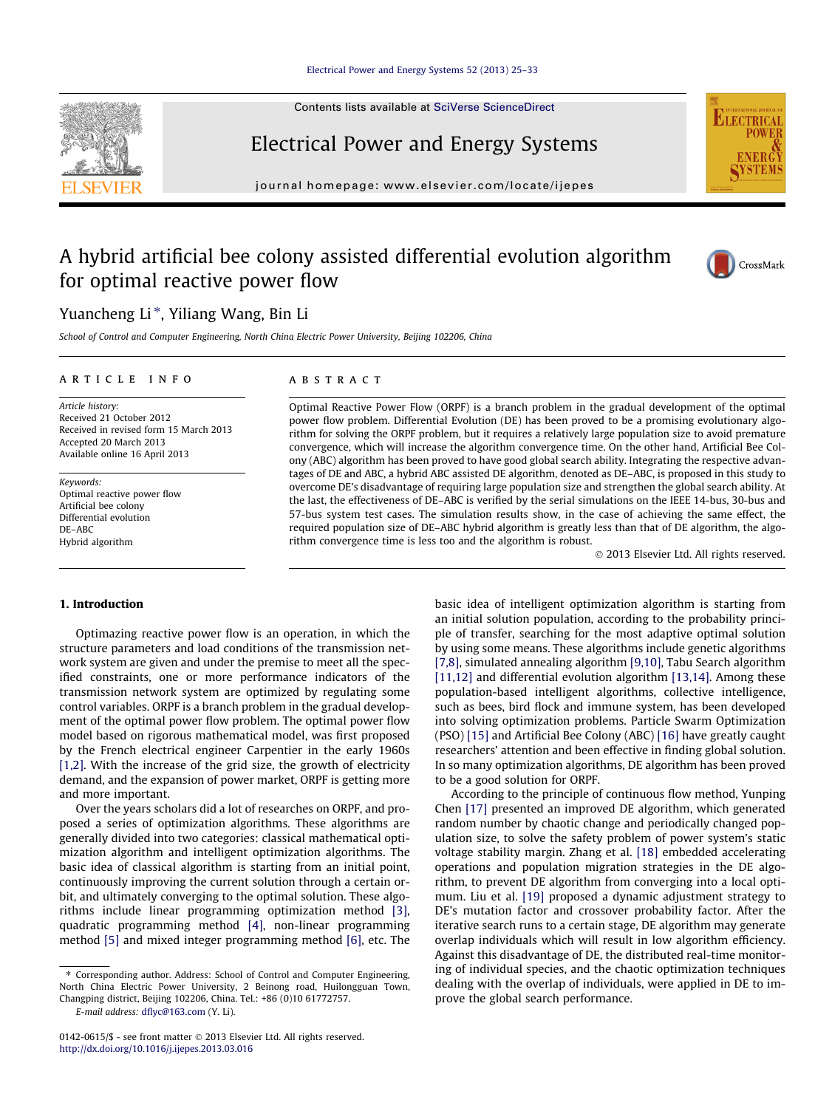#### [Electrical Power and Energy Systems 52 \(2013\) 25–33](http://dx.doi.org/10.1016/j.ijepes.2013.03.016)

Contents lists available at [SciVerse ScienceDirect](http://www.sciencedirect.com/science/journal/01420615)

## Electrical Power and Energy Systems

journal homepage: [www.elsevier.com/locate/ijepes](http://www.elsevier.com/locate/ijepes)

### A hybrid artificial bee colony assisted differential evolution algorithm for optimal reactive power flow

### Yuancheng Li<sup>\*</sup>, Yiliang Wang, Bin Li

School of Control and Computer Engineering, North China Electric Power University, Beijing 102206, China

#### article info

Article history: Received 21 October 2012 Received in revised form 15 March 2013 Accepted 20 March 2013 Available online 16 April 2013

Keywords: Optimal reactive power flow Artificial bee colony Differential evolution DE–ABC Hybrid algorithm

#### **ABSTRACT**

Optimal Reactive Power Flow (ORPF) is a branch problem in the gradual development of the optimal power flow problem. Differential Evolution (DE) has been proved to be a promising evolutionary algorithm for solving the ORPF problem, but it requires a relatively large population size to avoid premature convergence, which will increase the algorithm convergence time. On the other hand, Artificial Bee Colony (ABC) algorithm has been proved to have good global search ability. Integrating the respective advantages of DE and ABC, a hybrid ABC assisted DE algorithm, denoted as DE–ABC, is proposed in this study to overcome DE's disadvantage of requiring large population size and strengthen the global search ability. At the last, the effectiveness of DE–ABC is verified by the serial simulations on the IEEE 14-bus, 30-bus and 57-bus system test cases. The simulation results show, in the case of achieving the same effect, the required population size of DE–ABC hybrid algorithm is greatly less than that of DE algorithm, the algorithm convergence time is less too and the algorithm is robust.

- 2013 Elsevier Ltd. All rights reserved.

#### 1. Introduction

Optimazing reactive power flow is an operation, in which the structure parameters and load conditions of the transmission network system are given and under the premise to meet all the specified constraints, one or more performance indicators of the transmission network system are optimized by regulating some control variables. ORPF is a branch problem in the gradual development of the optimal power flow problem. The optimal power flow model based on rigorous mathematical model, was first proposed by the French electrical engineer Carpentier in the early 1960s [\[1,2\].](#page--1-0) With the increase of the grid size, the growth of electricity demand, and the expansion of power market, ORPF is getting more and more important.

Over the years scholars did a lot of researches on ORPF, and proposed a series of optimization algorithms. These algorithms are generally divided into two categories: classical mathematical optimization algorithm and intelligent optimization algorithms. The basic idea of classical algorithm is starting from an initial point, continuously improving the current solution through a certain orbit, and ultimately converging to the optimal solution. These algorithms include linear programming optimization method [\[3\],](#page--1-0) quadratic programming method [\[4\]](#page--1-0), non-linear programming method [\[5\]](#page--1-0) and mixed integer programming method [\[6\],](#page--1-0) etc. The basic idea of intelligent optimization algorithm is starting from an initial solution population, according to the probability principle of transfer, searching for the most adaptive optimal solution by using some means. These algorithms include genetic algorithms [\[7,8\],](#page--1-0) simulated annealing algorithm [\[9,10\]](#page--1-0), Tabu Search algorithm [\[11,12\]](#page--1-0) and differential evolution algorithm [\[13,14\].](#page--1-0) Among these population-based intelligent algorithms, collective intelligence, such as bees, bird flock and immune system, has been developed into solving optimization problems. Particle Swarm Optimization (PSO) [\[15\]](#page--1-0) and Artificial Bee Colony (ABC) [\[16\]](#page--1-0) have greatly caught researchers' attention and been effective in finding global solution. In so many optimization algorithms, DE algorithm has been proved to be a good solution for ORPF.

According to the principle of continuous flow method, Yunping Chen [\[17\]](#page--1-0) presented an improved DE algorithm, which generated random number by chaotic change and periodically changed population size, to solve the safety problem of power system's static voltage stability margin. Zhang et al. [\[18\]](#page--1-0) embedded accelerating operations and population migration strategies in the DE algorithm, to prevent DE algorithm from converging into a local optimum. Liu et al. [\[19\]](#page--1-0) proposed a dynamic adjustment strategy to DE's mutation factor and crossover probability factor. After the iterative search runs to a certain stage, DE algorithm may generate overlap individuals which will result in low algorithm efficiency. Against this disadvantage of DE, the distributed real-time monitoring of individual species, and the chaotic optimization techniques dealing with the overlap of individuals, were applied in DE to improve the global search performance.







<sup>⇑</sup> Corresponding author. Address: School of Control and Computer Engineering, North China Electric Power University, 2 Beinong road, Huilongguan Town, Changping district, Beijing 102206, China. Tel.: +86 (0)10 61772757.

E-mail address: [dflyc@163.com](mailto:dflyc@163.com) (Y. Li).

<sup>0142-0615/\$ -</sup> see front matter © 2013 Elsevier Ltd. All rights reserved. <http://dx.doi.org/10.1016/j.ijepes.2013.03.016>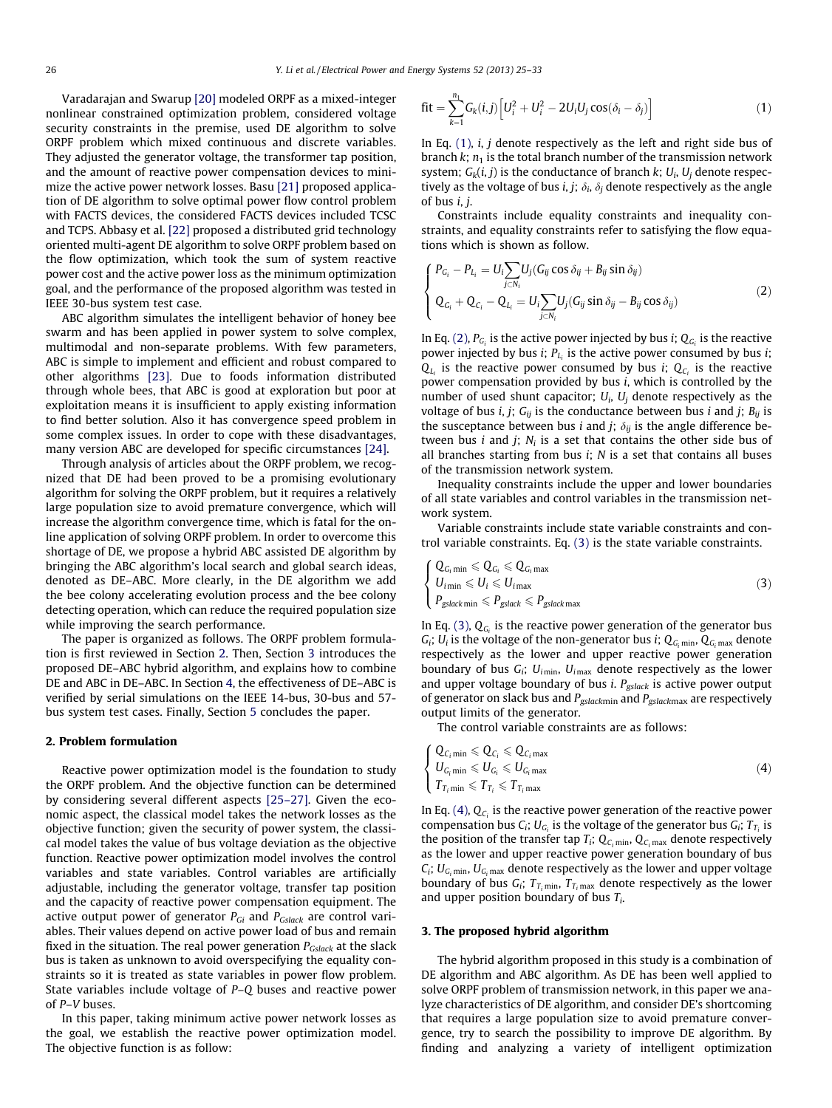Varadarajan and Swarup [\[20\]](#page--1-0) modeled ORPF as a mixed-integer nonlinear constrained optimization problem, considered voltage security constraints in the premise, used DE algorithm to solve ORPF problem which mixed continuous and discrete variables. They adjusted the generator voltage, the transformer tap position, and the amount of reactive power compensation devices to minimize the active power network losses. Basu [\[21\]](#page--1-0) proposed application of DE algorithm to solve optimal power flow control problem with FACTS devices, the considered FACTS devices included TCSC and TCPS. Abbasy et al. [\[22\]](#page--1-0) proposed a distributed grid technology oriented multi-agent DE algorithm to solve ORPF problem based on the flow optimization, which took the sum of system reactive power cost and the active power loss as the minimum optimization goal, and the performance of the proposed algorithm was tested in IEEE 30-bus system test case.

ABC algorithm simulates the intelligent behavior of honey bee swarm and has been applied in power system to solve complex, multimodal and non-separate problems. With few parameters, ABC is simple to implement and efficient and robust compared to other algorithms [\[23\]](#page--1-0). Due to foods information distributed through whole bees, that ABC is good at exploration but poor at exploitation means it is insufficient to apply existing information to find better solution. Also it has convergence speed problem in some complex issues. In order to cope with these disadvantages, many version ABC are developed for specific circumstances [\[24\].](#page--1-0)

Through analysis of articles about the ORPF problem, we recognized that DE had been proved to be a promising evolutionary algorithm for solving the ORPF problem, but it requires a relatively large population size to avoid premature convergence, which will increase the algorithm convergence time, which is fatal for the online application of solving ORPF problem. In order to overcome this shortage of DE, we propose a hybrid ABC assisted DE algorithm by bringing the ABC algorithm's local search and global search ideas, denoted as DE–ABC. More clearly, in the DE algorithm we add the bee colony accelerating evolution process and the bee colony detecting operation, which can reduce the required population size while improving the search performance.

The paper is organized as follows. The ORPF problem formulation is first reviewed in Section 2. Then, Section 3 introduces the proposed DE–ABC hybrid algorithm, and explains how to combine DE and ABC in DE–ABC. In Section [4,](#page--1-0) the effectiveness of DE–ABC is verified by serial simulations on the IEEE 14-bus, 30-bus and 57 bus system test cases. Finally, Section [5](#page--1-0) concludes the paper.

#### 2. Problem formulation

Reactive power optimization model is the foundation to study the ORPF problem. And the objective function can be determined by considering several different aspects [\[25–27\].](#page--1-0) Given the economic aspect, the classical model takes the network losses as the objective function; given the security of power system, the classical model takes the value of bus voltage deviation as the objective function. Reactive power optimization model involves the control variables and state variables. Control variables are artificially adjustable, including the generator voltage, transfer tap position and the capacity of reactive power compensation equipment. The active output power of generator  $P_{Gi}$  and  $P_{Gslack}$  are control variables. Their values depend on active power load of bus and remain fixed in the situation. The real power generation  $P_{Gslack}$  at the slack bus is taken as unknown to avoid overspecifying the equality constraints so it is treated as state variables in power flow problem. State variables include voltage of P–Q buses and reactive power of P–V buses.

In this paper, taking minimum active power network losses as the goal, we establish the reactive power optimization model. The objective function is as follow:

$$
\text{fit} = \sum_{k=1}^{n_1} G_k(i,j) \left[ U_i^2 + U_i^2 - 2U_i U_j \cos(\delta_i - \delta_j) \right] \tag{1}
$$

In Eq.  $(1)$ , *i*, *j* denote respectively as the left and right side bus of branch  $k$ ;  $n_1$  is the total branch number of the transmission network system;  $G_k(i, j)$  is the conductance of branch k;  $U_i$ ,  $U_j$  denote respectively as the voltage of bus *i*, *j*;  $\delta_i$ ,  $\delta_j$  denote respectively as the angle of bus  $i, i$ .

Constraints include equality constraints and inequality constraints, and equality constraints refer to satisfying the flow equations which is shown as follow.

$$
\begin{cases}\nP_{G_i} - P_{L_i} = U_i \sum_{j \subset N_i} U_j (G_{ij} \cos \delta_{ij} + B_{ij} \sin \delta_{ij}) \\
Q_{G_i} + Q_{C_i} - Q_{L_i} = U_i \sum_{j \subset N_i} U_j (G_{ij} \sin \delta_{ij} - B_{ij} \cos \delta_{ij})\n\end{cases} \tag{2}
$$

In Eq. (2),  $P_{G_i}$  is the active power injected by bus *i*;  $Q_{G_i}$  is the reactive power injected by bus *i*;  $P_{L_i}$  is the active power consumed by bus *i*;  $Q_{L_i}$  is the reactive power consumed by bus *i*;  $Q_{C_i}$  is the reactive power compensation provided by bus i, which is controlled by the number of used shunt capacitor;  $U_i$ ,  $U_j$  denote respectively as the voltage of bus *i*, *j*;  $G_{ii}$  is the conductance between bus *i* and *j*;  $B_{ii}$  is the susceptance between bus *i* and *j*;  $\delta_{ij}$  is the angle difference between bus *i* and *j*;  $N_i$  is a set that contains the other side bus of all branches starting from bus  $i$ ;  $N$  is a set that contains all buses of the transmission network system.

Inequality constraints include the upper and lower boundaries of all state variables and control variables in the transmission network system.

Variable constraints include state variable constraints and control variable constraints. Eq. (3) is the state variable constraints.

$$
\begin{cases} Q_{G_i \min} \leqslant Q_{G_i} \leqslant Q_{G_i \max} \\ U_{i \min} \leqslant U_i \leqslant U_{i \max} \\ P_{gslack} \leqslant P_{gslack} \leqslant P_{gslack} \max \end{cases}
$$
\n(3)

In Eq. (3),  $Q_{G_i}$  is the reactive power generation of the generator bus  $G_i$ ;  $U_i$  is the voltage of the non-generator bus *i*;  $Q_{G_i \text{min}}$ ,  $Q_{G_i \text{max}}$  denote respectively as the lower and upper reactive power generation boundary of bus  $G_i$ ;  $U_{i \text{min}}$ ,  $U_{i \text{max}}$  denote respectively as the lower and upper voltage boundary of bus *i*.  $P_{\text{gslack}}$  is active power output of generator on slack bus and  $P_{gslackmin}$  and  $P_{gslackmax}$  are respectively output limits of the generator.

The control variable constraints are as follows:

$$
\begin{cases} Q_{C_i \min} \leqslant Q_{C_i} \leqslant Q_{C_i \max} \\ U_{G_i \min} \leqslant U_{G_i} \leqslant U_{G_i \max} \\ T_{T_i \min} \leqslant T_{T_i} \leqslant T_{T_i \max} \end{cases}
$$
\n(4)

In Eq. (4),  $Q_{C_i}$  is the reactive power generation of the reactive power compensation bus  $C_i$ ;  $U_{G_i}$  is the voltage of the generator bus  $G_i$ ;  $T_{T_i}$  is the position of the transfer tap  $T_i$ ;  $Q_{C_i \text{min}}$ ,  $Q_{C_i \text{max}}$  denote respectively as the lower and upper reactive power generation boundary of bus  $C_i$ ;  $U_{G_i \text{min}}$ ,  $U_{G_i \text{max}}$  denote respectively as the lower and upper voltage boundary of bus  $G_i$ ;  $T_{T_i \text{min}}$ ,  $T_{T_i \text{max}}$  denote respectively as the lower and upper position boundary of bus  $T_i$ .

#### 3. The proposed hybrid algorithm

The hybrid algorithm proposed in this study is a combination of DE algorithm and ABC algorithm. As DE has been well applied to solve ORPF problem of transmission network, in this paper we analyze characteristics of DE algorithm, and consider DE's shortcoming that requires a large population size to avoid premature convergence, try to search the possibility to improve DE algorithm. By finding and analyzing a variety of intelligent optimization